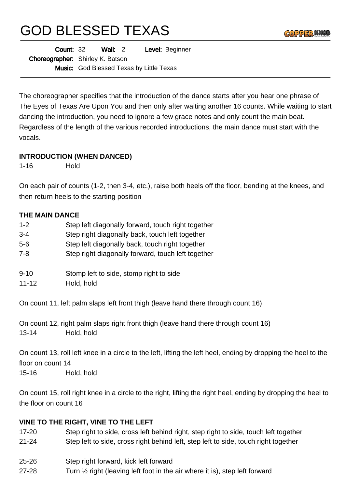# GOD BLESSED TEXAS

| <b>Count: 32</b> |                                         | Wall: $2$ |  | Level: Beginner                                 |  |
|------------------|-----------------------------------------|-----------|--|-------------------------------------------------|--|
|                  | <b>Choreographer:</b> Shirley K. Batson |           |  |                                                 |  |
|                  |                                         |           |  | <b>Music:</b> God Blessed Texas by Little Texas |  |

The choreographer specifies that the introduction of the dance starts after you hear one phrase of The Eyes of Texas Are Upon You and then only after waiting another 16 counts. While waiting to start dancing the introduction, you need to ignore a few grace notes and only count the main beat. Regardless of the length of the various recorded introductions, the main dance must start with the vocals.

### **INTRODUCTION (WHEN DANCED)**

1-16 Hold

On each pair of counts (1-2, then 3-4, etc.), raise both heels off the floor, bending at the knees, and then return heels to the starting position

### **THE MAIN DANCE**

| $1 - 2$ | Step left diagonally forward, touch right together |
|---------|----------------------------------------------------|
| $3 - 4$ | Step right diagonally back, touch left together    |
| 5-6     | Step left diagonally back, touch right together    |
| 7-8     | Step right diagonally forward, touch left together |
|         |                                                    |

- 9-10 Stomp left to side, stomp right to side
- 11-12 Hold, hold

On count 11, left palm slaps left front thigh (leave hand there through count 16)

On count 12, right palm slaps right front thigh (leave hand there through count 16) 13-14 Hold, hold

On count 13, roll left knee in a circle to the left, lifting the left heel, ending by dropping the heel to the floor on count 14 15-16 Hold, hold

On count 15, roll right knee in a circle to the right, lifting the right heel, ending by dropping the heel to the floor on count 16

## **VINE TO THE RIGHT, VINE TO THE LEFT**

- 17-20 Step right to side, cross left behind right, step right to side, touch left together
- 21-24 Step left to side, cross right behind left, step left to side, touch right together
- 25-26 Step right forward, kick left forward
- 27-28 Turn ½ right (leaving left foot in the air where it is), step left forward